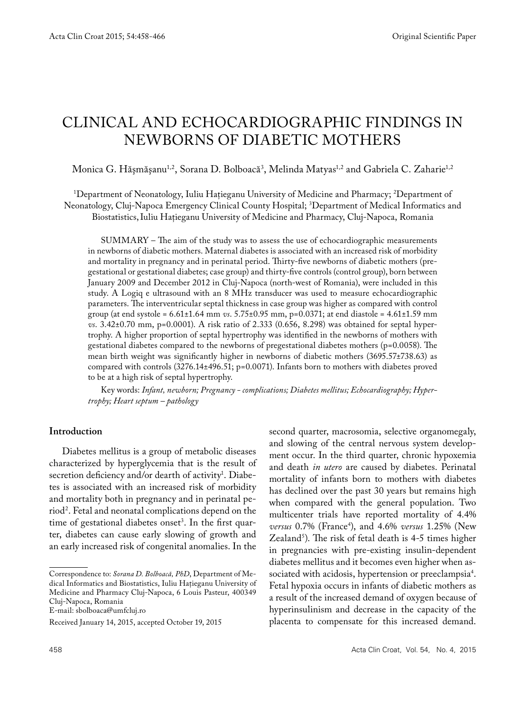# Clinical and Echocardiographic Findings in Newborns of Diabetic Mothers

Monica G. Hăşmăşanu<sup>1,2</sup>, Sorana D. Bolboacă<sup>3</sup>, Melinda Matyas<sup>1,2</sup> and Gabriela C. Zaharie<sup>1,2</sup>

1 Department of Neonatology, Iuliu Haţieganu University of Medicine and Pharmacy; 2 Department of Neonatology, Cluj-Napoca Emergency Clinical County Hospital; 3 Department of Medical Informatics and Biostatistics,Iuliu Haţieganu University of Medicine and Pharmacy, Cluj-Napoca, Romania

SUMMARY – The aim of the study was to assess the use of echocardiographic measurements in newborns of diabetic mothers. Maternal diabetes is associated with an increased risk of morbidity and mortality in pregnancy and in perinatal period. Thirty-five newborns of diabetic mothers (pregestational or gestational diabetes; case group) and thirty-five controls (control group), born between January 2009 and December 2012 in Cluj-Napoca (north-west of Romania), were included in this study. A Logiq e ultrasound with an 8 MHz transducer was used to measure echocardiographic parameters. The interventricular septal thickness in case group was higher as compared with control group (at end systole = 6.61±1.64 mm *vs*. 5.75±0.95 mm, p=0.0371; at end diastole = 4.61±1.59 mm *vs*. 3.42±0.70 mm, p=0.0001). A risk ratio of 2.333 (0.656, 8.298) was obtained for septal hypertrophy. A higher proportion of septal hypertrophy was identified in the newborns of mothers with gestational diabetes compared to the newborns of pregestational diabetes mothers (p=0.0058). The mean birth weight was significantly higher in newborns of diabetic mothers (3695.57±738.63) as compared with controls (3276.14±496.51; p=0.0071). Infants born to mothers with diabetes proved to be at a high risk of septal hypertrophy.

Key words: *Infant, newborn; Pregnancy - complications; Diabetes mellitus; Echocardiography; Hypertrophy; Heart septum – pathology* 

#### **Introduction**

Diabetes mellitus is a group of metabolic diseases characterized by hyperglycemia that is the result of secretion deficiency and/or dearth of activity<sup>1</sup>. Diabetes is associated with an increased risk of morbidity and mortality both in pregnancy and in perinatal period2 . Fetal and neonatal complications depend on the time of gestational diabetes onset<sup>3</sup>. In the first quarter, diabetes can cause early slowing of growth and an early increased risk of congenital anomalies. In the

E-mail: sbolboaca@umfcluj.ro

second quarter, macrosomia, selective organomegaly, and slowing of the central nervous system development occur. In the third quarter, chronic hypoxemia and death *in utero* are caused by diabetes. Perinatal mortality of infants born to mothers with diabetes has declined over the past 30 years but remains high when compared with the general population. Two multicenter trials have reported mortality of 4.4% *versus* 0.7% (France4 ), and 4.6% *versus* 1.25% (New Zealand<sup>5</sup>). The risk of fetal death is 4-5 times higher in pregnancies with pre-existing insulin-dependent diabetes mellitus and it becomes even higher when associated with acidosis, hypertension or preeclampsia4 . Fetal hypoxia occurs in infants of diabetic mothers as a result of the increased demand of oxygen because of hyperinsulinism and decrease in the capacity of the placenta to compensate for this increased demand.

Correspondence to: *Sorana D. Bolboacă, PhD*, Department of Medical Informatics and Biostatistics, Iuliu Haţieganu University of Medicine and Pharmacy Cluj-Napoca, 6 Louis Pasteur, 400349 Cluj-Napoca, Romania

Received January 14, 2015, accepted October 19, 2015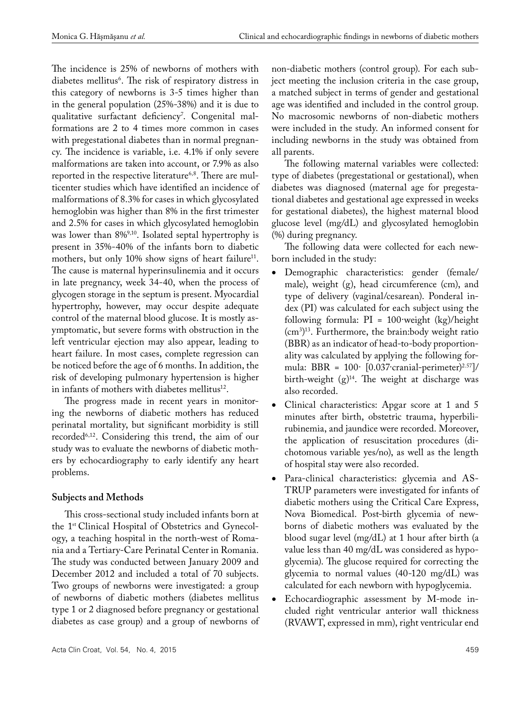The incidence is 25% of newborns of mothers with diabetes mellitus<sup>6</sup>. The risk of respiratory distress in this category of newborns is 3-5 times higher than in the general population (25%-38%) and it is due to qualitative surfactant deficiency'. Congenital malformations are 2 to 4 times more common in cases with pregestational diabetes than in normal pregnancy. The incidence is variable, i.e. 4.1% if only severe malformations are taken into account, or 7.9% as also reported in the respective literature<sup>6,8</sup>. There are multicenter studies which have identified an incidence of malformations of 8.3% for cases in which glycosylated hemoglobin was higher than 8% in the first trimester and 2.5% for cases in which glycosylated hemoglobin was lower than 8%%10. Isolated septal hypertrophy is present in 35%-40% of the infants born to diabetic mothers, but only 10% show signs of heart failure<sup>11</sup>. The cause is maternal hyperinsulinemia and it occurs in late pregnancy, week 34-40, when the process of glycogen storage in the septum is present. Myocardial hypertrophy, however, may occur despite adequate control of the maternal blood glucose. It is mostly asymptomatic, but severe forms with obstruction in the left ventricular ejection may also appear, leading to heart failure. In most cases, complete regression can be noticed before the age of 6 months. In addition, the risk of developing pulmonary hypertension is higher in infants of mothers with diabetes mellitus<sup>12</sup>.

The progress made in recent years in monitoring the newborns of diabetic mothers has reduced perinatal mortality, but significant morbidity is still recorded6,12. Considering this trend, the aim of our study was to evaluate the newborns of diabetic mothers by echocardiography to early identify any heart problems.

# **Subjects and Methods**

This cross-sectional study included infants born at the 1st Clinical Hospital of Obstetrics and Gynecology, a teaching hospital in the north-west of Romania and a Tertiary-Care Perinatal Center in Romania. The study was conducted between January 2009 and December 2012 and included a total of 70 subjects. Two groups of newborns were investigated: a group of newborns of diabetic mothers (diabetes mellitus type 1 or 2 diagnosed before pregnancy or gestational diabetes as case group) and a group of newborns of non-diabetic mothers (control group). For each subject meeting the inclusion criteria in the case group, a matched subject in terms of gender and gestational age was identified and included in the control group. No macrosomic newborns of non-diabetic mothers were included in the study. An informed consent for including newborns in the study was obtained from all parents.

The following maternal variables were collected: type of diabetes (pregestational or gestational), when diabetes was diagnosed (maternal age for pregestational diabetes and gestational age expressed in weeks for gestational diabetes), the highest maternal blood glucose level (mg/dL) and glycosylated hemoglobin (%) during pregnancy.

The following data were collected for each newborn included in the study:

- • Demographic characteristics: gender (female/ male), weight (g), head circumference (cm), and type of delivery (vaginal/cesarean). Ponderal index (PI) was calculated for each subject using the following formula: PI = 100·weight (kg)/height (cm3 ) 13. Furthermore, the brain:body weight ratio (BBR) as an indicator of head-to-body proportionality was calculated by applying the following formula: BBR =  $100 \cdot [0.037 \text{c} \cdot \text{c} \cdot \text{c} \cdot \text{c} \cdot \text{c} \cdot \text{c} \cdot \text{c} \cdot \text{c} \cdot \text{c} \cdot \text{c} \cdot \text{c} \cdot \text{c} \cdot \text{c} \cdot \text{c} \cdot \text{c} \cdot \text{c} \cdot \text{c} \cdot \text{c} \cdot \text{c} \cdot \text{c} \cdot \text{c} \cdot \text{c} \cdot \text{c} \cdot \text{c} \cdot \text{c} \cdot \text{c} \cdot \text{c} \cdot \text{c} \cdot \$ birth-weight  $(g)^{14}$ . The weight at discharge was also recorded.
- Clinical characteristics: Apgar score at 1 and 5 minutes after birth, obstetric trauma, hyperbilirubinemia, and jaundice were recorded. Moreover, the application of resuscitation procedures (dichotomous variable yes/no), as well as the length of hospital stay were also recorded.
- Para-clinical characteristics: glycemia and AS-TRUP parameters were investigated for infants of diabetic mothers using the Critical Care Express, Nova Biomedical. Post-birth glycemia of newborns of diabetic mothers was evaluated by the blood sugar level (mg/dL) at 1 hour after birth (a value less than 40 mg/dL was considered as hypoglycemia). The glucose required for correcting the glycemia to normal values (40-120 mg/dL) was calculated for each newborn with hypoglycemia.
- Echocardiographic assessment by M-mode included right ventricular anterior wall thickness (RVAWT, expressed in mm), right ventricular end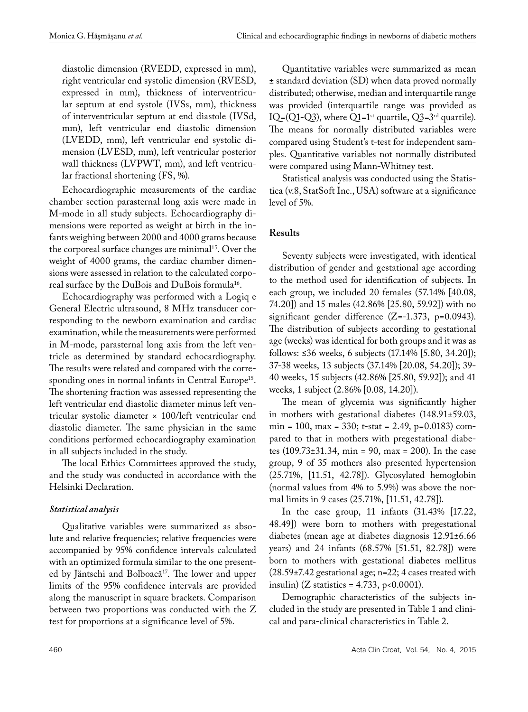diastolic dimension (RVEDD, expressed in mm), right ventricular end systolic dimension (RVESD, expressed in mm), thickness of interventricular septum at end systole (IVSs, mm), thickness of interventricular septum at end diastole (IVSd, mm), left ventricular end diastolic dimension (LVEDD, mm), left ventricular end systolic dimension (LVESD, mm), left ventricular posterior wall thickness (LVPWT, mm), and left ventricular fractional shortening (FS, %).

Echocardiographic measurements of the cardiac chamber section parasternal long axis were made in M-mode in all study subjects. Echocardiography dimensions were reported as weight at birth in the infants weighing between 2000 and 4000 grams because the corporeal surface changes are minimal<sup>15</sup>. Over the weight of 4000 grams, the cardiac chamber dimensions were assessed in relation to the calculated corporeal surface by the DuBois and DuBois formula<sup>16</sup>.

Echocardiography was performed with a Logiq e General Electric ultrasound, 8 MHz transducer corresponding to the newborn examination and cardiac examination, while the measurements were performed in M-mode, parasternal long axis from the left ventricle as determined by standard echocardiography. The results were related and compared with the corresponding ones in normal infants in Central Europe<sup>15</sup>. The shortening fraction was assessed representing the left ventricular end diastolic diameter minus left ventricular systolic diameter × 100/left ventricular end diastolic diameter. The same physician in the same conditions performed echocardiography examination in all subjects included in the study.

The local Ethics Committees approved the study, and the study was conducted in accordance with the Helsinki Declaration.

## *Statistical analysis*

Qualitative variables were summarized as absolute and relative frequencies; relative frequencies were accompanied by 95% confidence intervals calculated with an optimized formula similar to the one presented by Jäntschi and Bolboacă<sup>17</sup>. The lower and upper limits of the 95% confidence intervals are provided along the manuscript in square brackets. Comparison between two proportions was conducted with the Z test for proportions at a significance level of 5%.

Quantitative variables were summarized as mean ± standard deviation (SD) when data proved normally distributed; otherwise, median and interquartile range was provided (interquartile range was provided as IQ=(Q1-Q3), where Q1=1<sup>st</sup> quartile, Q3=3<sup>rd</sup> quartile). The means for normally distributed variables were compared using Student's t-test for independent samples. Quantitative variables not normally distributed were compared using Mann-Whitney test.

Statistical analysis was conducted using the Statistica (v.8, StatSoft Inc., USA) software at a significance level of 5%.

## **Results**

Seventy subjects were investigated, with identical distribution of gender and gestational age according to the method used for identification of subjects. In each group, we included 20 females (57.14% [40.08, 74.20]) and 15 males (42.86% [25.80, 59.92]) with no significant gender difference  $(Z=-1.373, p=0.0943)$ . The distribution of subjects according to gestational age (weeks) was identical for both groups and it was as follows: ≤36 weeks, 6 subjects (17.14% [5.80, 34.20]); 37-38 weeks, 13 subjects (37.14% [20.08, 54.20]); 39- 40 weeks, 15 subjects (42.86% [25.80, 59.92]); and 41 weeks, 1 subject (2.86% [0.08, 14.20]).

The mean of glycemia was significantly higher in mothers with gestational diabetes (148.91±59.03,  $min = 100$ ,  $max = 330$ ;  $t - stat = 2.49$ ,  $p=0.0183$ ) compared to that in mothers with pregestational diabetes (109.73±31.34, min = 90, max = 200). In the case group, 9 of 35 mothers also presented hypertension (25.71%, [11.51, 42.78]). Glycosylated hemoglobin (normal values from 4% to 5.9%) was above the normal limits in 9 cases (25.71%, [11.51, 42.78]).

In the case group, 11 infants (31.43% [17.22, 48.49]) were born to mothers with pregestational diabetes (mean age at diabetes diagnosis 12.91±6.66 years) and 24 infants (68.57% [51.51, 82.78]) were born to mothers with gestational diabetes mellitus (28.59±7.42 gestational age; n=22; 4 cases treated with insulin) (Z statistics =  $4.733$ , p<0.0001).

Demographic characteristics of the subjects included in the study are presented in Table 1 and clinical and para-clinical characteristics in Table 2.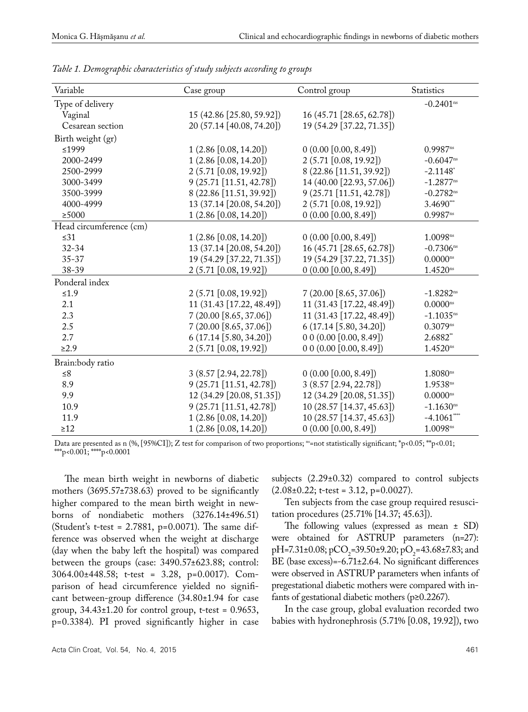| Variable                | Case group                | Control group             | <b>Statistics</b>       |
|-------------------------|---------------------------|---------------------------|-------------------------|
| Type of delivery        |                           |                           | $-0.2401$ <sup>ns</sup> |
| Vaginal                 | 15 (42.86 [25.80, 59.92]) | 16 (45.71 [28.65, 62.78]) |                         |
| Cesarean section        | 20 (57.14 [40.08, 74.20]) | 19 (54.29 [37.22, 71.35]) |                         |
| Birth weight (gr)       |                           |                           |                         |
| ≤1999                   | 1(2.86 [0.08, 14.20])     | 0(0.00 [0.00, 8.49])      | $0.9987$ <sup>ns</sup>  |
| 2000-2499               | 1(2.86 [0.08, 14.20])     | 2 (5.71 [0.08, 19.92])    | $-0.6047$ <sup>ns</sup> |
| 2500-2999               | 2(5.71 [0.08, 19.92])     | 8 (22.86 [11.51, 39.92])  | $-2.1148$ <sup>*</sup>  |
| 3000-3499               | 9 (25.71 [11.51, 42.78])  | 14 (40.00 [22.93, 57.06]) | $-1.2877^{ns}$          |
| 3500-3999               | 8 (22.86 [11.51, 39.92])  | 9 (25.71 [11.51, 42.78])  | $-0.2782^{ns}$          |
| 4000-4999               | 13 (37.14 [20.08, 54.20]) | 2 (5.71 [0.08, 19.92])    | 3.4690***               |
| $\geq$ 5000             | 1 (2.86 [0.08, 14.20])    | 0(0.00 [0.00, 8.49])      | $0.9987$ <sup>ns</sup>  |
| Head circumference (cm) |                           |                           |                         |
| $\leq$ 31               | 1(2.86 [0.08, 14.20])     | 0(0.00 [0.00, 8.49])      | 1.0098n s               |
| $32 - 34$               | 13 (37.14 [20.08, 54.20]) | 16 (45.71 [28.65, 62.78]) | $-0.7306$ ns            |
| $35 - 37$               | 19 (54.29 [37.22, 71.35]) | 19 (54.29 [37.22, 71.35]) | $0.0000^{ns}$           |
| 38-39                   | 2 (5.71 [0.08, 19.92])    | $0(0.00\,[0.00, 8.49])$   | $1.4520^{ns}$           |
| Ponderal index          |                           |                           |                         |
| $\leq 1.9$              | 2 (5.71 [0.08, 19.92])    | 7(20.00 [8.65, 37.06])    | $-1.8282^{ns}$          |
| 2.1                     | 11 (31.43 [17.22, 48.49]) | 11 (31.43 [17.22, 48.49]) | $0.0000^{\rm ns}$       |
| 2.3                     | 7(20.00 [8.65, 37.06])    | 11 (31.43 [17.22, 48.49]) | $-1.1035^{ns}$          |
| $2.5\,$                 | 7(20.00 [8.65, 37.06])    | 6(17.14 [5.80, 34.20])    | $0.3079^{ns}$           |
| 2.7                     | 6(17.14 [5.80, 34.20])    | 0 0 (0.00 [0.00, 8.49])   | 2.6882**                |
| $\geq 2.9$              | 2 (5.71 [0.08, 19.92])    | 00(0.00[0.00, 8.49])      | $1.4520^{ns}$           |
| Brain:body ratio        |                           |                           |                         |
| ${\leq}8$               | 3 (8.57 [2.94, 22.78])    | 0(0.00[0.00, 8.49])       | $1.8080$ <sup>ns</sup>  |
| 8.9                     | 9 (25.71 [11.51, 42.78])  | 3 (8.57 [2.94, 22.78])    | $1.9538^{ns}$           |
| 9.9                     | 12 (34.29 [20.08, 51.35]) | 12 (34.29 [20.08, 51.35]) | $0.0000^{\rm ns}$       |
| 10.9                    | 9 (25.71 [11.51, 42.78])  | 10 (28.57 [14.37, 45.63]) | $-1.1630^{ns}$          |
| 11.9                    | 1 (2.86 [0.08, 14.20])    | 10 (28.57 [14.37, 45.63]) | $-4.1061$ ***           |
| $\geq$ 12               | 1 (2.86 [0.08, 14.20])    | 0(0.00[0.00, 8.49])       | $1.0098^{ns}$           |

*Table 1. Demographic characteristics of study subjects according to groups*

Data are presented as n (%, [95%CI]); Z test for comparison of two proportions; <sup>ns</sup>=not statistically significant;  $*_{p}<0.05$ ;  $*_{p}<0.01$ ; \*\*\*p<0.001; \*\*\*\*p<0.0001

The mean birth weight in newborns of diabetic mothers (3695.57±738.63) proved to be significantly higher compared to the mean birth weight in newborns of nondiabetic mothers (3276.14±496.51) (Student's t-test = 2.7881, p=0.0071). The same difference was observed when the weight at discharge (day when the baby left the hospital) was compared between the groups (case: 3490.57±623.88; control: 3064.00±448.58; t-test = 3.28, p=0.0017). Comparison of head circumference yielded no significant between-group difference (34.80±1.94 for case group,  $34.43\pm1.20$  for control group, t-test = 0.9653, p=0.3384). PI proved significantly higher in case

subjects (2.29±0.32) compared to control subjects  $(2.08\pm0.22; t-test = 3.12, p=0.0027).$ 

Ten subjects from the case group required resuscitation procedures (25.71% [14.37; 45.63]).

The following values (expressed as mean ± SD) were obtained for ASTRUP parameters (n=27): pH=7.31±0.08; pCO<sub>2</sub>=39.50±9.20; pO<sub>2</sub>=43.68±7.83; and BE (base excess)=-6.71±2.64. No significant differences were observed in ASTRUP parameters when infants of pregestational diabetic mothers were compared with infants of gestational diabetic mothers (p≥0.2267).

In the case group, global evaluation recorded two babies with hydronephrosis (5.71% [0.08, 19.92]), two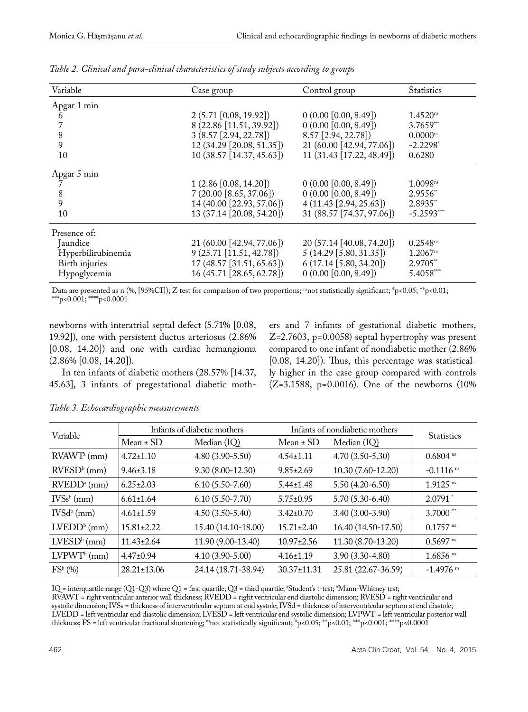| Variable           | Case group                    | Control group             | <b>Statistics</b>      |
|--------------------|-------------------------------|---------------------------|------------------------|
| Apgar 1 min        |                               |                           |                        |
| 6                  | 2(5.71 [0.08, 19.92])         | $0(0.00\,[0.00, 8.49])$   | $1.4520$ <sup>ns</sup> |
|                    | 8 (22.86 [11.51, 39.92])      | 0(0.00[0.00, 8.49])       | $3.7659^{**}$          |
| 8                  | 3(8.57 [2.94, 22.78])         | 8.57 [2.94, 22.78])       | $0.0000$ <sup>ns</sup> |
| 9                  | 12 (34.29 [20.08, 51.35])     | 21 (60.00 [42.94, 77.06]) | $-2.2298$ <sup>*</sup> |
| 10                 | 10 (38.57 [14.37, 45.63])     | 11 (31.43 [17.22, 48.49]) | 0.6280                 |
| Apgar 5 min        |                               |                           |                        |
|                    | 1(2.86 [0.08, 14.20])         | $(0.00\ [0.00, 8.49])$    | 1.0098n s              |
| 8                  | 7(20.00 [8.65, 37.06])        | $0(0.00\,[0.00, 8.49])$   | 2.9556*                |
| 9                  | 14 (40.00 [22.93, 57.06])     | 4(11.43 [2.94, 25.63])    | 2.8935**               |
| 10                 | 13 (37.14 [20.08, 54.20])     | 31 (88.57 [74.37, 97.06]) | $-5.2593***$           |
| Presence of:       |                               |                           |                        |
| Jaundice           | 21 (60.00 [42.94, 77.06])     | 20 (57.14 [40.08, 74.20]) | $0.2548$ <sup>ns</sup> |
| Hyperbilirubinemia | $9(25.71 \mid 11.51, 42.78])$ | 5(14.29 [5.80, 31.35])    | $1.2067$ <sup>ns</sup> |
| Birth injuries     | 17 (48.57 [31.51, 65.63])     | 6(17.14 [5.80, 34.20])    | 2.9705**               |
| Hypoglycemia       | 16 (45.71 [28.65, 62.78])     | 0(0.00[0.00, 8.49])       | 5.4058***              |

*Table 2. Clinical and para-clinical characteristics of study subjects according to groups*

Data are presented as n (%, [95%CI]); Z test for comparison of two proportions; <sup>ns</sup>not statistically significant; \*p<0.05; \*\*p<0.01; \*\*\*p<0.001; \*\*\*\*p<0.0001

newborns with interatrial septal defect (5.71% [0.08, 19.92]), one with persistent ductus arteriosus (2.86% [0.08, 14.20]) and one with cardiac hemangioma (2.86% [0.08, 14.20]).

In ten infants of diabetic mothers (28.57% [14.37, 45.63], 3 infants of pregestational diabetic mothers and 7 infants of gestational diabetic mothers, Z=2.7603, p=0.0058) septal hypertrophy was present compared to one infant of nondiabetic mother (2.86% [0.08, 14.20]). Thus, this percentage was statistically higher in the case group compared with controls (Z=3.1588, p=0.0016). One of the newborns (10%

| Variable                   | Infants of diabetic mothers |                     | Infants of nondiabetic mothers |                     | <b>Statistics</b>      |
|----------------------------|-----------------------------|---------------------|--------------------------------|---------------------|------------------------|
|                            | $Mean \pm SD$               | Median (IQ)         | $Mean \pm SD$                  | Median (IQ)         |                        |
| $RVAWTa$ (mm)              | $4.72 \pm 1.10$             | $4.80(3.90-5.50)$   | $4.54 \pm 1.11$                | $4.70(3.50-5.30)$   | $0.6804$ <sup>ns</sup> |
| $RVESDb$ (mm)              | $9.46 \pm 3.18$             | $9.30(8.00-12.30)$  | $9.85 \pm 2.69$                | 10.30 (7.60-12.20)  | $-0.1116$ ns           |
| $RVEDDa$ (mm)              | $6.25 \pm 2.03$             | $6.10(5.50-7.60)$   | $5.44 \pm 1.48$                | $5.50(4.20-6.50)$   | $1.9125$ <sup>ns</sup> |
| $IVSsb$ (mm)               | $6.61 \pm 1.64$             | $6.10(5.50-7.70)$   | $5.75 \pm 0.95$                | $5.70(5.30-6.40)$   | $2.0791$ <sup>*</sup>  |
| $IVSdb$ (mm)               | $4.61 \pm 1.59$             | $4.50(3.50-5.40)$   | $3.42 \pm 0.70$                | $3.40(3.00-3.90)$   | $3.7000$ ***           |
| $LVEDDb$ (mm)              | $15.81 \pm 2.22$            | 15.40 (14.10-18.00) | $15.71 \pm 2.40$               | 16.40 (14.50-17.50) | $0.1757$ <sup>ns</sup> |
| $LVESDb$ (mm)              | $11.43 \pm 2.64$            | 11.90 (9.00-13.40)  | $10.97 \pm 2.56$               | 11.30 (8.70-13.20)  | $0.5697$ <sup>ns</sup> |
| $LVPWT^b$ (mm)             | $4.47\pm0.94$               | $4.10(3.90-5.00)$   | $4.16 \pm 1.19$                | $3.90(3.30-4.80)$   | $1.6856$ <sup>ns</sup> |
| $\text{FS}^{\text{b}}$ (%) | $28.21 \pm 13.06$           | 24.14 (18.71-38.94) | $30.37 \pm 11.31$              | 25.81 (22.67-36.59) | $-1.4976$ ns           |

*Table 3. Echocardiographic measurements*

IQ = interquartile range (Q1-Q3) where Q1 = first quartile; Q3 = third quartile; a Student's t-test; b Mann-Whitney test; RVAWT = right ventricular anterior wall thickness; RVEDD = right ventricular end diastolic dimension; RVESD = right ventricular end systolic dimension; IVSs = thickness of interventricular septum at end systole; IVSd = thickness of interventricular septum at end diastole; LVEDD = left ventricular end diastolic dimension; LVESD = left ventricular end systolic dimension; LVPWT = left ventricular posterior wall thickness; FS = left ventricular fractional shortening; <sup>ns</sup>not statistically significant; \*p<0.05; \*\*p<0.01; \*\*\*p<0.001; \*\*\*p<0.0001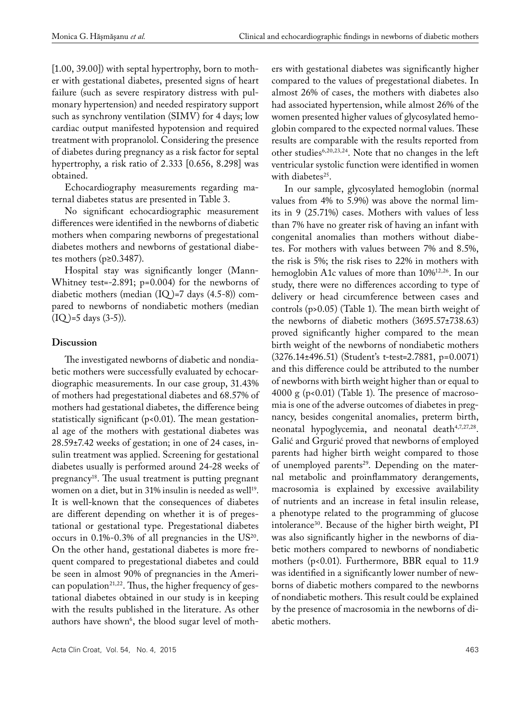[1.00, 39.00]) with septal hypertrophy, born to mother with gestational diabetes, presented signs of heart failure (such as severe respiratory distress with pulmonary hypertension) and needed respiratory support such as synchrony ventilation (SIMV) for 4 days; low cardiac output manifested hypotension and required treatment with propranolol. Considering the presence of diabetes during pregnancy as a risk factor for septal hypertrophy, a risk ratio of 2.333 [0.656, 8.298] was obtained.

Echocardiography measurements regarding maternal diabetes status are presented in Table 3.

No significant echocardiographic measurement differences were identified in the newborns of diabetic mothers when comparing newborns of pregestational diabetes mothers and newborns of gestational diabetes mothers (p≥0.3487).

Hospital stay was significantly longer (Mann-Whitney test=-2.891; p=0.004) for the newborns of diabetic mothers (median  $(IQ)$ =7 days  $(4.5-8)$ ) compared to newborns of nondiabetic mothers (median  $(IQ)=5$  days  $(3-5)$ ).

## **Discussion**

The investigated newborns of diabetic and nondiabetic mothers were successfully evaluated by echocardiographic measurements. In our case group, 31.43% of mothers had pregestational diabetes and 68.57% of mothers had gestational diabetes, the difference being statistically significant ( $p$ <0.01). The mean gestational age of the mothers with gestational diabetes was 28.59±7.42 weeks of gestation; in one of 24 cases, insulin treatment was applied. Screening for gestational diabetes usually is performed around 24-28 weeks of pregnancy18. The usual treatment is putting pregnant women on a diet, but in 31% insulin is needed as well<sup>19</sup>. It is well-known that the consequences of diabetes are different depending on whether it is of pregestational or gestational type. Pregestational diabetes occurs in  $0.1\%$ -0.3% of all pregnancies in the US<sup>20</sup>. On the other hand, gestational diabetes is more frequent compared to pregestational diabetes and could be seen in almost 90% of pregnancies in the American population<sup>21,22</sup>. Thus, the higher frequency of gestational diabetes obtained in our study is in keeping with the results published in the literature. As other  $\mu$ authors have shown $^6$ , the blood sugar level of mothers with gestational diabetes was significantly higher compared to the values of pregestational diabetes. In almost 26% of cases, the mothers with diabetes also had associated hypertension, while almost 26% of the women presented higher values of glycosylated hemoglobin compared to the expected normal values. These results are comparable with the results reported from other studies<sup>6,20,23,24</sup>. Note that no changes in the left ventricular systolic function were identified in women with diabetes<sup>25</sup>.

In our sample, glycosylated hemoglobin (normal values from 4% to 5.9%) was above the normal limits in 9 (25.71%) cases. Mothers with values of less than 7% have no greater risk of having an infant with congenital anomalies than mothers without diabetes. For mothers with values between 7% and 8.5%, the risk is 5%; the risk rises to 22% in mothers with hemoglobin A1c values of more than 10%12,26. In our study, there were no differences according to type of delivery or head circumference between cases and controls (p>0.05) (Table 1). The mean birth weight of the newborns of diabetic mothers (3695.57±738.63) proved significantly higher compared to the mean birth weight of the newborns of nondiabetic mothers (3276.14±496.51) (Student's t-test=2.7881, p=0.0071) and this difference could be attributed to the number of newborns with birth weight higher than or equal to 4000 g ( $p<0.01$ ) (Table 1). The presence of macrosomia is one of the adverse outcomes of diabetes in pregnancy, besides congenital anomalies, preterm birth, neonatal hypoglycemia, and neonatal death<sup>4,7,27,28</sup>. Galić and Grgurić proved that newborns of employed parents had higher birth weight compared to those of unemployed parents<sup>29</sup>. Depending on the maternal metabolic and proinflammatory derangements, macrosomia is explained by excessive availability of nutrients and an increase in fetal insulin release, a phenotype related to the programming of glucose intolerance<sup>30</sup>. Because of the higher birth weight, PI was also significantly higher in the newborns of diabetic mothers compared to newborns of nondiabetic mothers (p<0.01). Furthermore, BBR equal to 11.9 was identified in a significantly lower number of newborns of diabetic mothers compared to the newborns of nondiabetic mothers. This result could be explained by the presence of macrosomia in the newborns of diabetic mothers.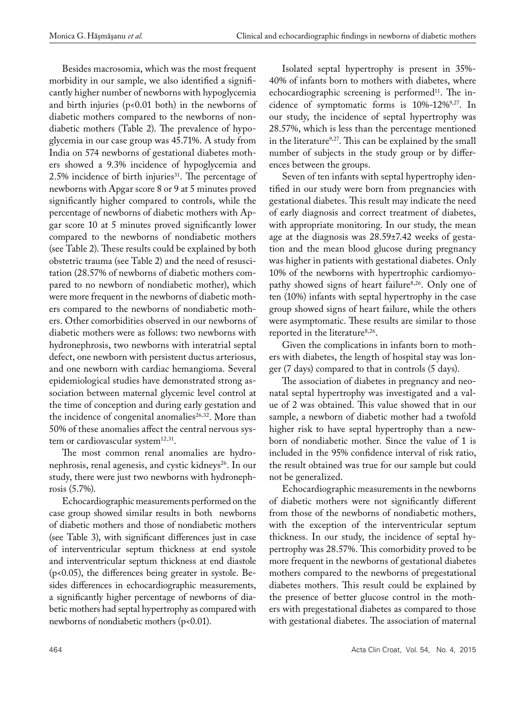Besides macrosomia, which was the most frequent morbidity in our sample, we also identified a significantly higher number of newborns with hypoglycemia and birth injuries ( $p$ <0.01 both) in the newborns of diabetic mothers compared to the newborns of nondiabetic mothers (Table 2). The prevalence of hypoglycemia in our case group was 45.71%. A study from India on 574 newborns of gestational diabetes mothers showed a 9.3% incidence of hypoglycemia and  $2.5\%$  incidence of birth injuries<sup>31</sup>. The percentage of newborns with Apgar score 8 or 9 at 5 minutes proved significantly higher compared to controls, while the percentage of newborns of diabetic mothers with Apgar score 10 at 5 minutes proved significantly lower compared to the newborns of nondiabetic mothers (see Table 2). These results could be explained by both obstetric trauma (see Table 2) and the need of resuscitation (28.57% of newborns of diabetic mothers compared to no newborn of nondiabetic mother), which were more frequent in the newborns of diabetic mothers compared to the newborns of nondiabetic mothers. Other comorbidities observed in our newborns of diabetic mothers were as follows: two newborns with hydronephrosis, two newborns with interatrial septal defect, one newborn with persistent ductus arteriosus, and one newborn with cardiac hemangioma. Several epidemiological studies have demonstrated strong association between maternal glycemic level control at the time of conception and during early gestation and the incidence of congenital anomalies<sup>26,32</sup>. More than 50% of these anomalies affect the central nervous system or cardiovascular system<sup>12,31</sup>.

The most common renal anomalies are hydronephrosis, renal agenesis, and cystic kidneys<sup>26</sup>. In our study, there were just two newborns with hydronephrosis (5.7%).

Echocardiographic measurements performed on the case group showed similar results in both newborns of diabetic mothers and those of nondiabetic mothers (see Table 3), with significant differences just in case of interventricular septum thickness at end systole and interventricular septum thickness at end diastole (p<0.05), the differences being greater in systole. Besides differences in echocardiographic measurements, a significantly higher percentage of newborns of diabetic mothers had septal hypertrophy as compared with newborns of nondiabetic mothers (p<0.01).

Isolated septal hypertrophy is present in 35%- 40% of infants born to mothers with diabetes, where echocardiographic screening is performed<sup>11</sup>. The incidence of symptomatic forms is 10%-12%9,27. In our study, the incidence of septal hypertrophy was 28.57%, which is less than the percentage mentioned in the literature<sup>9,27</sup>. This can be explained by the small number of subjects in the study group or by differences between the groups.

Seven of ten infants with septal hypertrophy identified in our study were born from pregnancies with gestational diabetes. This result may indicate the need of early diagnosis and correct treatment of diabetes, with appropriate monitoring. In our study, the mean age at the diagnosis was 28.59±7.42 weeks of gestation and the mean blood glucose during pregnancy was higher in patients with gestational diabetes. Only 10% of the newborns with hypertrophic cardiomyopathy showed signs of heart failure<sup>8,26</sup>. Only one of ten (10%) infants with septal hypertrophy in the case group showed signs of heart failure, while the others were asymptomatic. These results are similar to those reported in the literature<sup>8,26</sup>.

Given the complications in infants born to mothers with diabetes, the length of hospital stay was longer (7 days) compared to that in controls (5 days).

The association of diabetes in pregnancy and neonatal septal hypertrophy was investigated and a value of 2 was obtained. This value showed that in our sample, a newborn of diabetic mother had a twofold higher risk to have septal hypertrophy than a newborn of nondiabetic mother. Since the value of 1 is included in the 95% confidence interval of risk ratio, the result obtained was true for our sample but could not be generalized.

Echocardiographic measurements in the newborns of diabetic mothers were not significantly different from those of the newborns of nondiabetic mothers, with the exception of the interventricular septum thickness. In our study, the incidence of septal hypertrophy was 28.57%. This comorbidity proved to be more frequent in the newborns of gestational diabetes mothers compared to the newborns of pregestational diabetes mothers. This result could be explained by the presence of better glucose control in the mothers with pregestational diabetes as compared to those with gestational diabetes. The association of maternal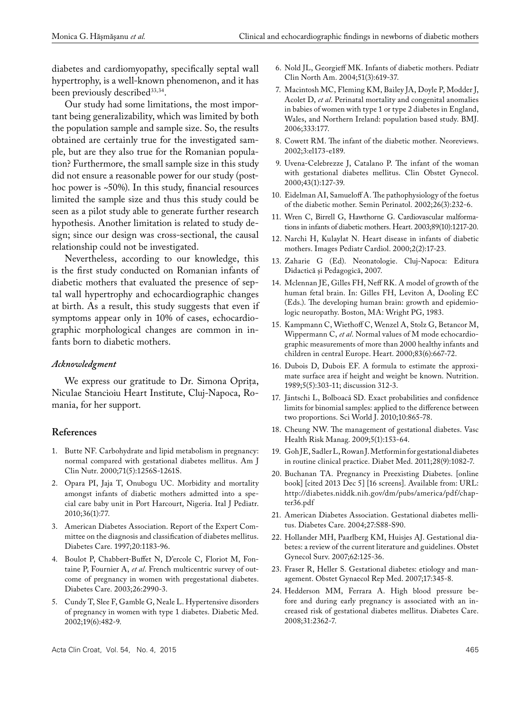diabetes and cardiomyopathy, specifically septal wall hypertrophy, is a well-known phenomenon, and it has been previously described<sup>33,34</sup>.

Our study had some limitations, the most important being generalizability, which was limited by both the population sample and sample size. So, the results obtained are certainly true for the investigated sample, but are they also true for the Romanian population? Furthermore, the small sample size in this study did not ensure a reasonable power for our study (posthoc power is ~50%). In this study, financial resources limited the sample size and thus this study could be seen as a pilot study able to generate further research hypothesis. Another limitation is related to study design; since our design was cross-sectional, the causal relationship could not be investigated.

Nevertheless, according to our knowledge, this is the first study conducted on Romanian infants of diabetic mothers that evaluated the presence of septal wall hypertrophy and echocardiographic changes at birth. As a result, this study suggests that even if symptoms appear only in 10% of cases, echocardiographic morphological changes are common in infants born to diabetic mothers.

#### *Acknowledgment*

We express our gratitude to Dr. Simona Oprița, Niculae Stancioiu Heart Institute, Cluj-Napoca, Romania, for her support.

### **References**

- 1. Butte NF. Carbohydrate and lipid metabolism in pregnancy: normal compared with gestational diabetes mellitus. Am J Clin Nutr. 2000;71(5):1256S-1261S.
- 2. Opara PI, Jaja T, Onubogu UC. Morbidity and mortality amongst infants of diabetic mothers admitted into a special care baby unit in Port Harcourt, Nigeria. Ital J Pediatr. 2010;36(1):77.
- 3. American Diabetes Association. Report of the Expert Committee on the diagnosis and classification of diabetes mellitus. Diabetes Care. 1997;20:1183-96.
- 4. Boulot P, Chabbert-Buffet N, D'ercole C, Floriot M, Fontaine P, Fournier A, *et al*. French multicentric survey of outcome of pregnancy in women with pregestational diabetes. Diabetes Care. 2003;26:2990-3.
- 5. Cundy T, Slee F, Gamble G, Neale L. Hypertensive disorders of pregnancy in women with type 1 diabetes. Diabetic Med. 2002;19(6):482-9.
- 6. Nold JL, Georgieff MK. Infants of diabetic mothers. Pediatr Clin North Am. 2004;51(3):619-37.
- 7. Macintosh MC, Fleming KM, Bailey JA, Doyle P, Modder J, Acolet D, *et al*. Perinatal mortality and congenital anomalies in babies of women with type 1 or type 2 diabetes in England, Wales, and Northern Ireland: population based study. BMJ. 2006;333:177.
- 8. Cowett RM. The infant of the diabetic mother. Neoreviews. 2002;3:el173-e189.
- 9. Uvena-Celebrezze J, Catalano P. The infant of the woman with gestational diabetes mellitus. Clin Obstet Gynecol. 2000;43(1):127-39.
- 10. Eidelman AI, Samueloff A. The pathophysiology of the foetus of the diabetic mother. Semin Perinatol. 2002;26(3):232-6.
- 11. Wren C, Birrell G, Hawthorne G. Cardiovascular malformations in infants of diabetic mothers. Heart. 2003;89(10):1217-20.
- 12. Narchi H, Kulaylat N. Heart disease in infants of diabetic mothers. Images Pediatr Cardiol. 2000;2(2):17-23.
- 13. Zaharie G (Ed). Neonatologie. Cluj-Napoca: Editura Didactică şi Pedagogică, 2007.
- 14. Mclennan JE, Gilles FH, Neff RK. A model of growth of the human fetal brain. In: Gilles FH, Leviton A, Dooling EC (Eds.). The developing human brain: growth and epidemiologic neuropathy. Boston, MA: Wright PG, 1983.
- 15. Kampmann C, Wiethoff C, Wenzel A, Stolz G, Betancor M, Wippermann C, *et al*. Normal values of M mode echocardiographic measurements of more than 2000 healthy infants and children in central Europe. Heart. 2000;83(6):667-72.
- 16. Dubois D, Dubois EF. A formula to estimate the approximate surface area if height and weight be known. Nutrition. 1989;5(5):303-11; discussion 312-3.
- 17. Jäntschi L, Bolboacă SD. Exact probabilities and confidence limits for binomial samples: applied to the difference between two proportions. Sci World J. 2010;10:865-78.
- 18. Cheung NW. The management of gestational diabetes. Vasc Health Risk Manag. 2009;5(1):153-64.
- 19. Goh JE, Sadler L, Rowan J. Metformin for gestational diabetes in routine clinical practice. Diabet Med. 2011;28(9):1082-7.
- 20. Buchanan TA. Pregnancy in Preexisting Diabetes. [online book] [cited 2013 Dec 5] [16 screens]. Available from: URL: http://diabetes.niddk.nih.gov/dm/pubs/america/pdf/chapter36.pdf
- 21. American Diabetes Association. Gestational diabetes mellitus. Diabetes Care. 2004;27:S88-S90.
- 22. Hollander MH, Paarlberg KM, Huisjes AJ. Gestational diabetes: a review of the current literature and guidelines. Obstet Gynecol Surv. 2007;62:125-36.
- 23. Fraser R, Heller S. Gestational diabetes: etiology and management. Obstet Gynaecol Rep Med. 2007;17:345-8.
- 24. Hedderson MM, Ferrara A. High blood pressure before and during early pregnancy is associated with an increased risk of gestational diabetes mellitus. Diabetes Care. 2008;31:2362-7.